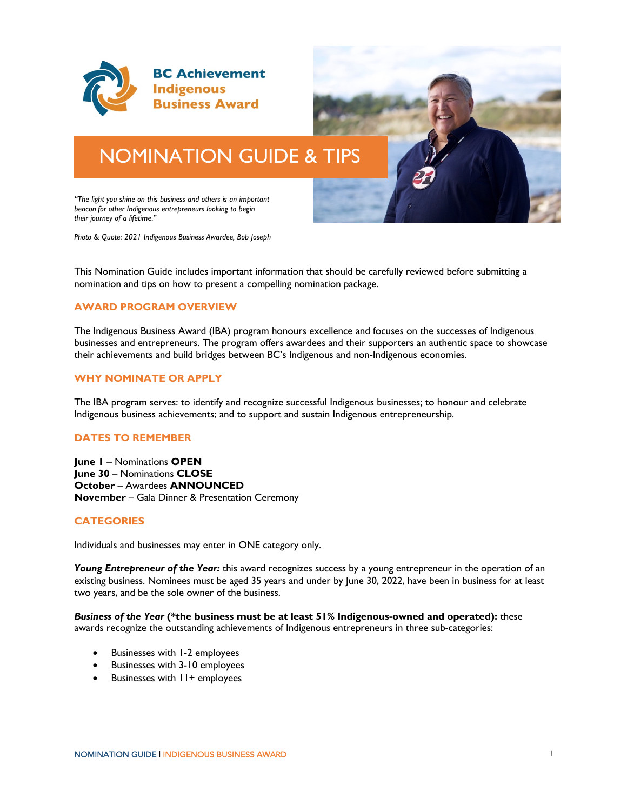

# NOMINATION GUIDE & TIPS

*"The light you shine on this business and others is an important beacon for other Indigenous entrepreneurs looking to begin their journey of a lifetime*."

*Photo & Quote: 2021 Indigenous Business Awardee, Bob Joseph*

This Nomination Guide includes important information that should be carefully reviewed before submitting a nomination and tips on how to present a compelling nomination package.

## **AWARD PROGRAM OVERVIEW**

The Indigenous Business Award (IBA) program honours excellence and focuses on the successes of Indigenous businesses and entrepreneurs. The program offers awardees and their supporters an authentic space to showcase their achievements and build bridges between BC's Indigenous and non-Indigenous economies.

#### **WHY NOMINATE OR APPLY**

The IBA program serves: to identify and recognize successful Indigenous businesses; to honour and celebrate Indigenous business achievements; and to support and sustain Indigenous entrepreneurship.

## **DATES TO REMEMBER**

**June 1** – Nominations **OPEN June 30** – Nominations **CLOSE October** – Awardees **ANNOUNCED November** – Gala Dinner & Presentation Ceremony

#### **CATEGORIES**

Individuals and businesses may enter in ONE category only.

Young Entrepreneur of the Year: this award recognizes success by a young entrepreneur in the operation of an existing business. Nominees must be aged 35 years and under by June 30, 2022, have been in business for at least two years, and be the sole owner of the business.

*Business of the Year* **(\*the business must be at least 51% Indigenous-owned and operated):** these awards recognize the outstanding achievements of Indigenous entrepreneurs in three sub-categories:

- Businesses with 1-2 employees
- Businesses with 3-10 employees
- Businesses with  $11+$  employees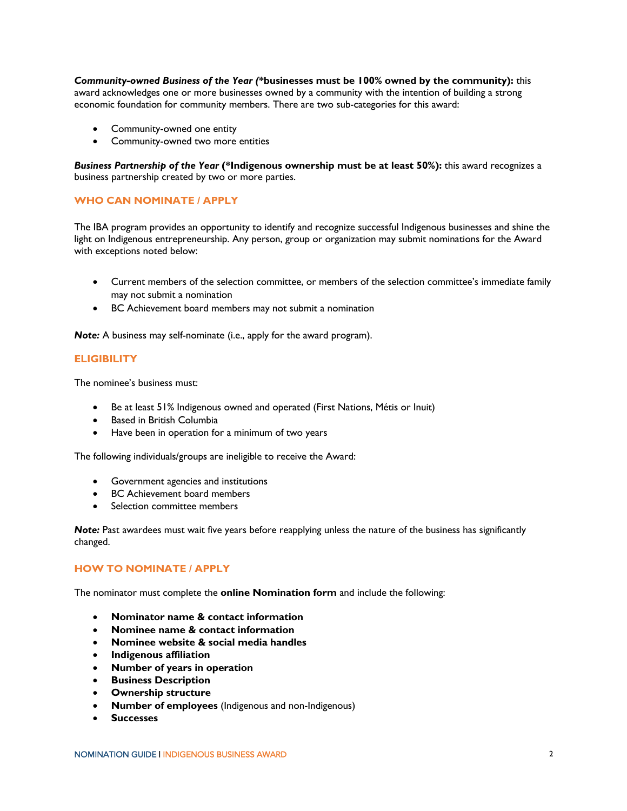*Community-owned Business of the Year (***\*businesses must be 100% owned by the community):** this award acknowledges one or more businesses owned by a community with the intention of building a strong economic foundation for community members. There are two sub-categories for this award:

- Community-owned one entity
- Community-owned two more entities

*Business Partnership of the Year* **(\*Indigenous ownership must be at least 50%):** this award recognizes a business partnership created by two or more parties.

## **WHO CAN NOMINATE / APPLY**

The IBA program provides an opportunity to identify and recognize successful Indigenous businesses and shine the light on Indigenous entrepreneurship. Any person, group or organization may submit nominations for the Award with exceptions noted below:

- Current members of the selection committee, or members of the selection committee's immediate family may not submit a nomination
- BC Achievement board members may not submit a nomination

*Note:* A business may self-nominate (i.e., apply for the award program).

## **ELIGIBILITY**

The nominee's business must:

- Be at least 51% Indigenous owned and operated (First Nations, Métis or Inuit)
- Based in British Columbia
- Have been in operation for a minimum of two years

The following individuals/groups are ineligible to receive the Award:

- Government agencies and institutions
- BC Achievement board members
- Selection committee members

*Note:* Past awardees must wait five years before reapplying unless the nature of the business has significantly changed.

# **HOW TO NOMINATE / APPLY**

The nominator must complete the **online Nomination form** and include the following:

- **Nominator name & contact information**
- **Nominee name & contact information**
- **Nominee website & social media handles**
- **Indigenous affiliation**
- **Number of years in operation**
- **Business Description**
- **Ownership structure**
- **Number of employees** (Indigenous and non-Indigenous)
- **Successes**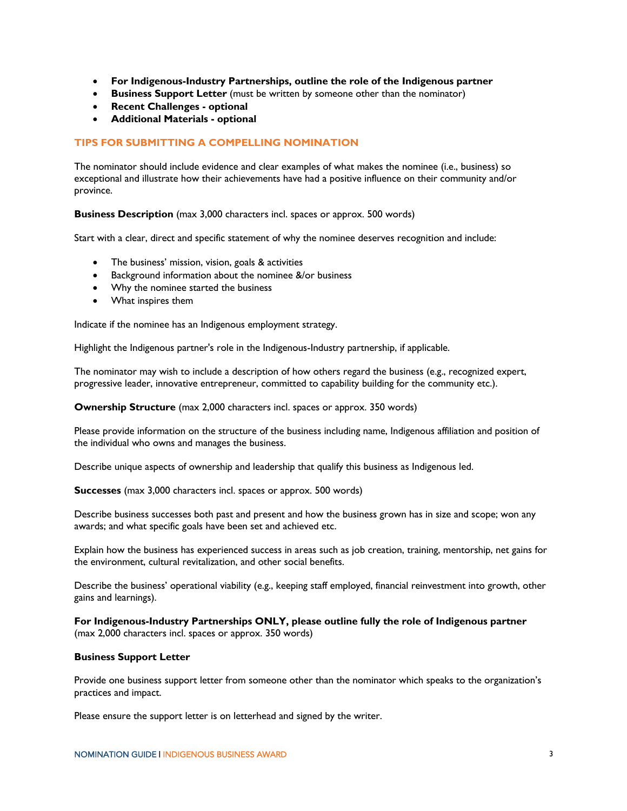- **For Indigenous-Industry Partnerships, outline the role of the Indigenous partner**
- **Business Support Letter** (must be written by someone other than the nominator)
- **Recent Challenges optional**
- **Additional Materials optional**

## **TIPS FOR SUBMITTING A COMPELLING NOMINATION**

The nominator should include evidence and clear examples of what makes the nominee (i.e., business) so exceptional and illustrate how their achievements have had a positive influence on their community and/or province.

**Business Description** (max 3,000 characters incl. spaces or approx. 500 words)

Start with a clear, direct and specific statement of why the nominee deserves recognition and include:

- The business' mission, vision, goals & activities
- Background information about the nominee &/or business
- Why the nominee started the business
- What inspires them

Indicate if the nominee has an Indigenous employment strategy.

Highlight the Indigenous partner's role in the Indigenous-Industry partnership, if applicable.

The nominator may wish to include a description of how others regard the business (e.g., recognized expert, progressive leader, innovative entrepreneur, committed to capability building for the community etc.).

**Ownership Structure** (max 2,000 characters incl. spaces or approx. 350 words)

Please provide information on the structure of the business including name, Indigenous affiliation and position of the individual who owns and manages the business.

Describe unique aspects of ownership and leadership that qualify this business as Indigenous led.

**Successes** (max 3,000 characters incl. spaces or approx. 500 words)

Describe business successes both past and present and how the business grown has in size and scope; won any awards; and what specific goals have been set and achieved etc.

Explain how the business has experienced success in areas such as job creation, training, mentorship, net gains for the environment, cultural revitalization, and other social benefits.

Describe the business' operational viability (e.g., keeping staff employed, financial reinvestment into growth, other gains and learnings).

**For Indigenous-Industry Partnerships ONLY, please outline fully the role of Indigenous partner** (max 2,000 characters incl. spaces or approx. 350 words)

#### **Business Support Letter**

Provide one business support letter from someone other than the nominator which speaks to the organization's practices and impact.

Please ensure the support letter is on letterhead and signed by the writer.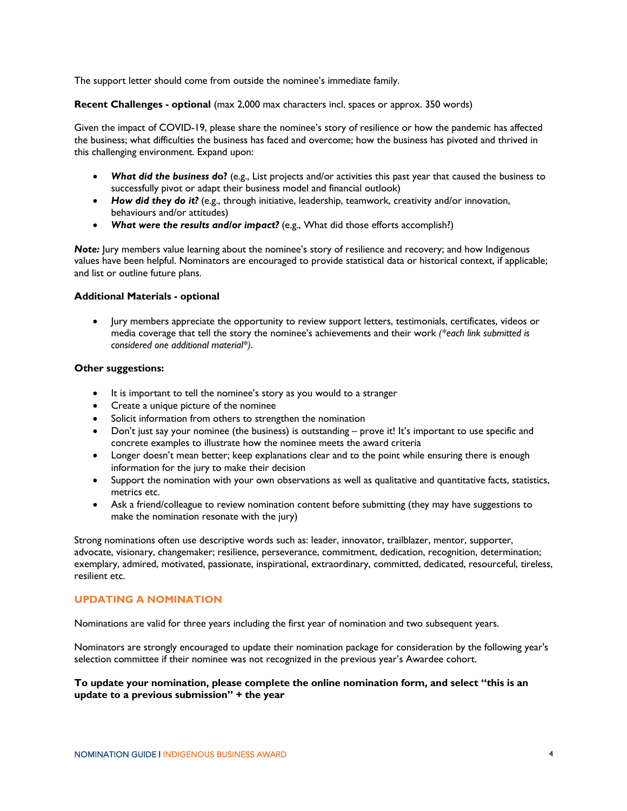The support letter should come from outside the nominee's immediate family.

**Recent Challenges - optional** (max 2,000 max characters incl. spaces or approx. 350 words)

Given the impact of COVID-19, please share the nominee's story of resilience or how the pandemic has affected the business; what difficulties the business has faced and overcome; how the business has pivoted and thrived in this challenging environment. Expand upon:

- *What did the business d***o?** (e.g., List projects and/or activities this past year that caused the business to successfully pivot or adapt their business model and financial outlook)
- *How did they do it?* (e.g., through initiative, leadership, teamwork, creativity and/or innovation, behaviours and/or attitudes)
- *What were the results and/or impact?* (e.g., What did those efforts accomplish?)

*Note:* Jury members value learning about the nominee's story of resilience and recovery; and how Indigenous values have been helpful. Nominators are encouraged to provide statistical data or historical context, if applicable; and list or outline future plans.

## **Additional Materials - optional**

• Jury members appreciate the opportunity to review support letters, testimonials, certificates, videos or media coverage that tell the story the nominee's achievements and their work *(\*each link submitted is considered one additional material\*)*.

## **Other suggestions:**

- It is important to tell the nominee's story as you would to a stranger
- Create a unique picture of the nominee
- Solicit information from others to strengthen the nomination
- Don't just say your nominee (the business) is outstanding prove it! It's important to use specific and concrete examples to illustrate how the nominee meets the award criteria
- Longer doesn't mean better; keep explanations clear and to the point while ensuring there is enough information for the jury to make their decision
- Support the nomination with your own observations as well as qualitative and quantitative facts, statistics, metrics etc.
- Ask a friend/colleague to review nomination content before submitting (they may have suggestions to make the nomination resonate with the jury)

Strong nominations often use descriptive words such as: leader, innovator, trailblazer, mentor, supporter, advocate, visionary, changemaker; resilience, perseverance, commitment, dedication, recognition, determination; exemplary, admired, motivated, passionate, inspirational, extraordinary, committed, dedicated, resourceful, tireless, resilient etc.

# **UPDATING A NOMINATION**

Nominations are valid for three years including the first year of nomination and two subsequent years.

Nominators are strongly encouraged to update their nomination package for consideration by the following year's selection committee if their nominee was not recognized in the previous year's Awardee cohort.

## **To update your nomination, please complete the online nomination form, and select "this is an update to a previous submission" + the year**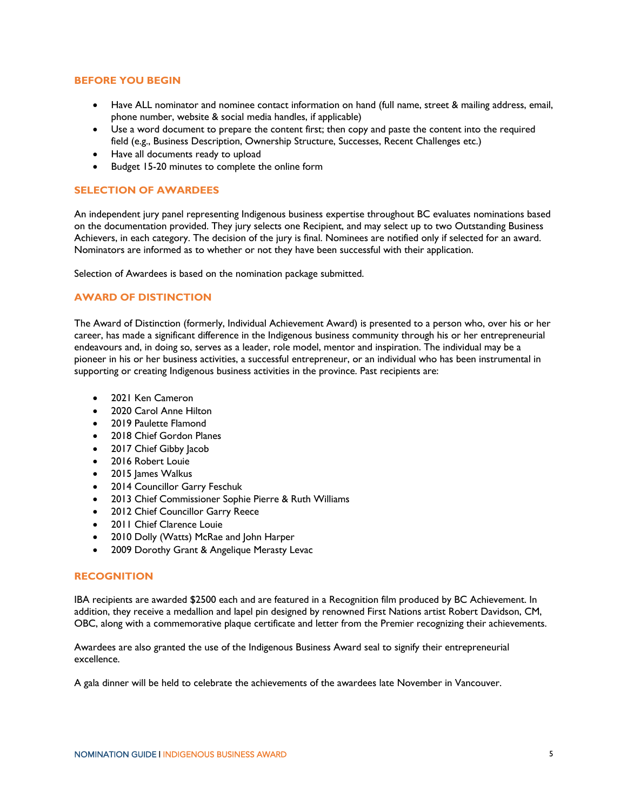## **BEFORE YOU BEGIN**

- Have ALL nominator and nominee contact information on hand (full name, street & mailing address, email, phone number, website & social media handles, if applicable)
- Use a word document to prepare the content first; then copy and paste the content into the required field (e.g., Business Description, Ownership Structure, Successes, Recent Challenges etc.)
- Have all documents ready to upload
- Budget 15-20 minutes to complete the online form

## **SELECTION OF AWARDEES**

An independent jury panel representing Indigenous business expertise throughout BC evaluates nominations based on the documentation provided. They jury selects one Recipient, and may select up to two Outstanding Business Achievers, in each category. The decision of the jury is final. Nominees are notified only if selected for an award. Nominators are informed as to whether or not they have been successful with their application.

Selection of Awardees is based on the nomination package submitted.

## **AWARD OF DISTINCTION**

The Award of Distinction (formerly, Individual Achievement Award) is presented to a person who, over his or her career, has made a significant difference in the Indigenous business community through his or her entrepreneurial endeavours and, in doing so, serves as a leader, role model, mentor and inspiration. The individual may be a pioneer in his or her business activities, a successful entrepreneur, or an individual who has been instrumental in supporting or creating Indigenous business activities in the province. Past recipients are:

- 2021 Ken Cameron
- 2020 Carol Anne Hilton
- 2019 Paulette Flamond
- 2018 Chief Gordon Planes
- 2017 Chief Gibby Jacob
- 2016 Robert Louie
- 2015 James Walkus
- 2014 Councillor Garry Feschuk
- 2013 Chief Commissioner Sophie Pierre & Ruth Williams
- 2012 Chief Councillor Garry Reece
- 2011 Chief Clarence Louie
- 2010 Dolly (Watts) McRae and John Harper
- 2009 Dorothy Grant & Angelique Merasty Levac

#### **RECOGNITION**

IBA recipients are awarded \$2500 each and are featured in a Recognition film produced by BC Achievement. In addition, they receive a medallion and lapel pin designed by renowned First Nations artist Robert Davidson, CM, OBC, along with a commemorative plaque certificate and letter from the Premier recognizing their achievements.

Awardees are also granted the use of the Indigenous Business Award seal to signify their entrepreneurial excellence.

A gala dinner will be held to celebrate the achievements of the awardees late November in Vancouver.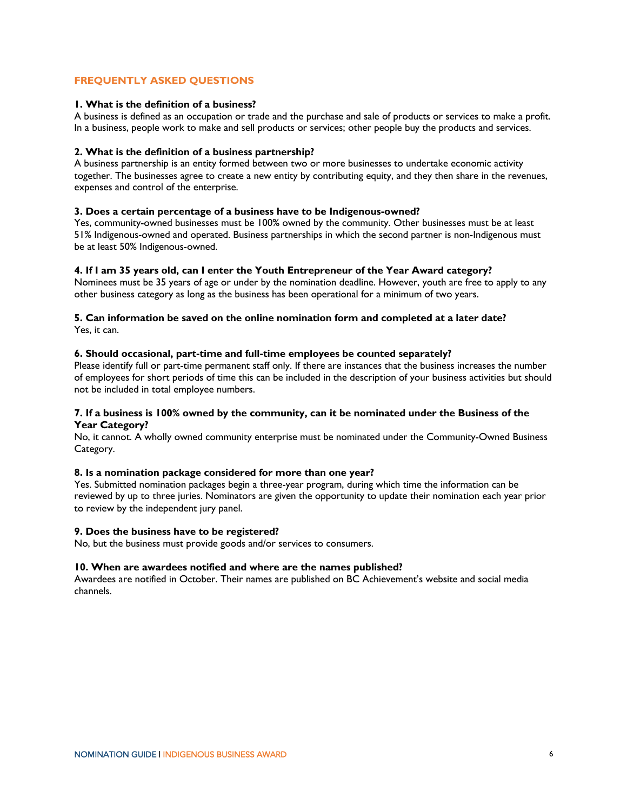## **FREQUENTLY ASKED QUESTIONS**

## **1. What is the definition of a business?**

A business is defined as an occupation or trade and the purchase and sale of products or services to make a profit. In a business, people work to make and sell products or services; other people buy the products and services.

#### **2. What is the definition of a business partnership?**

A business partnership is an entity formed between two or more businesses to undertake economic activity together. The businesses agree to create a new entity by contributing equity, and they then share in the revenues, expenses and control of the enterprise.

## **3. Does a certain percentage of a business have to be Indigenous-owned?**

Yes, community-owned businesses must be 100% owned by the community. Other businesses must be at least 51% Indigenous-owned and operated. Business partnerships in which the second partner is non-Indigenous must be at least 50% Indigenous-owned.

## **4. If I am 35 years old, can I enter the Youth Entrepreneur of the Year Award category?**

Nominees must be 35 years of age or under by the nomination deadline. However, youth are free to apply to any other business category as long as the business has been operational for a minimum of two years.

#### **5. Can information be saved on the online nomination form and completed at a later date?**  Yes, it can.

## **6. Should occasional, part-time and full-time employees be counted separately?**

Please identify full or part-time permanent staff only. If there are instances that the business increases the number of employees for short periods of time this can be included in the description of your business activities but should not be included in total employee numbers.

## **7. If a business is 100% owned by the community, can it be nominated under the Business of the Year Category?**

No, it cannot. A wholly owned community enterprise must be nominated under the Community-Owned Business Category.

## **8. Is a nomination package considered for more than one year?**

Yes. Submitted nomination packages begin a three-year program, during which time the information can be reviewed by up to three juries. Nominators are given the opportunity to update their nomination each year prior to review by the independent jury panel.

#### **9. Does the business have to be registered?**

No, but the business must provide goods and/or services to consumers.

#### **10. When are awardees notified and where are the names published?**

Awardees are notified in October. Their names are published on BC Achievement's website and social media channels.